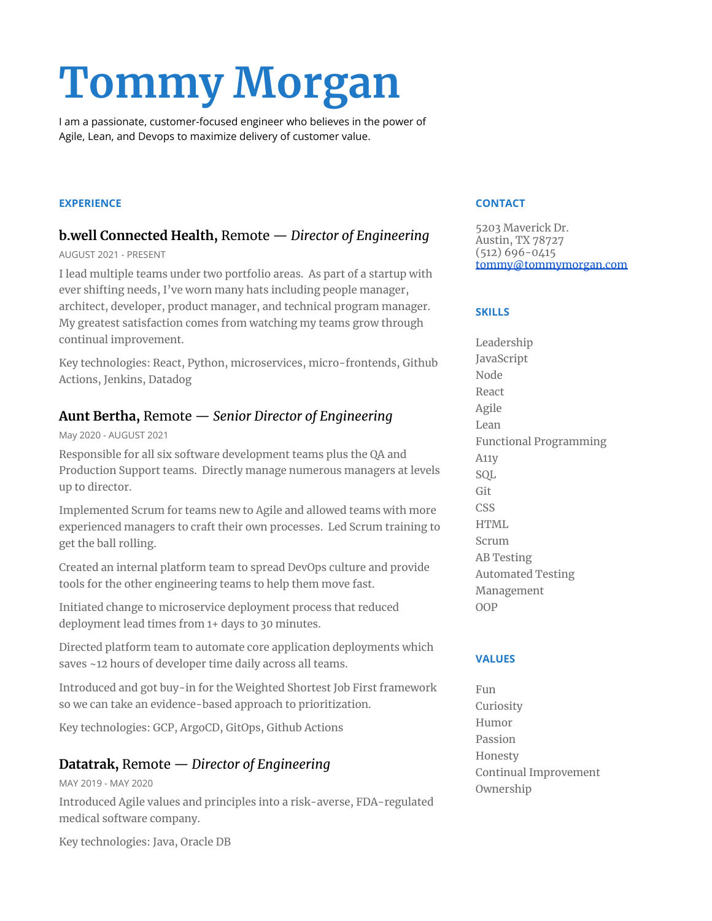# **Tommy Morgan**

I am a passionate, customer-focused engineer who believes in the power of Agile, Lean, and Devops to maximize delivery of customer value.

#### **EXPERIENCE**

# **b.well Connected Health,** Remote — *Director of Engineering*

#### AUGUST 2021 - PRESENT

I lead multiple teams under two portfolio areas. As part of a startup with ever shifting needs, I've worn many hats including people manager, architect, developer, product manager, and technical program manager. My greatest satisfaction comes from watching my teams grow through continual improvement.

Key technologies: React, Python, microservices, micro-frontends, Github Actions, Jenkins, Datadog

# **Aunt Bertha,** Remote — *Senior Director of Engineering*

#### May 2020 - AUGUST 2021

Responsible for all six software development teams plus the QA and Production Support teams. Directly manage numerous managers at levels up to director.

Implemented Scrum for teams new to Agile and allowed teams with more experienced managers to craft their own processes. Led Scrum training to get the ball rolling.

Created an internal platform team to spread DevOps culture and provide tools for the other engineering teams to help them move fast.

Initiated change to microservice deployment process that reduced deployment lead times from 1+ days to 30 minutes.

Directed platform team to automate core application deployments which saves ~12 hours of developer time daily across all teams.

Introduced and got buy-in for the Weighted Shortest Job First framework so we can take an evidence-based approach to prioritization.

Key technologies: GCP, ArgoCD, GitOps, Github Actions

# **Datatrak,** Remote — *Director of Engineering*

MAY 2019 - MAY 2020 Introduced Agile values and principles into a risk-averse, FDA-regulated medical software company.

Key technologies: Java, Oracle DB

#### **CONTACT**

5203 Maverick Dr. Austin, TX 78727 (512) 696-0415 [tommy@tommymorgan.com](mailto:tommy@tommymorgan.com)

#### **SKILLS**

Leadership JavaScript Node React Agile Lean Functional Programming A11y SQL Git CSS HTML Scrum AB Testing Automated Testing Management OOP

#### **VALUES**

Fun Curiosity Humor Passion Honesty Continual Improvement Ownership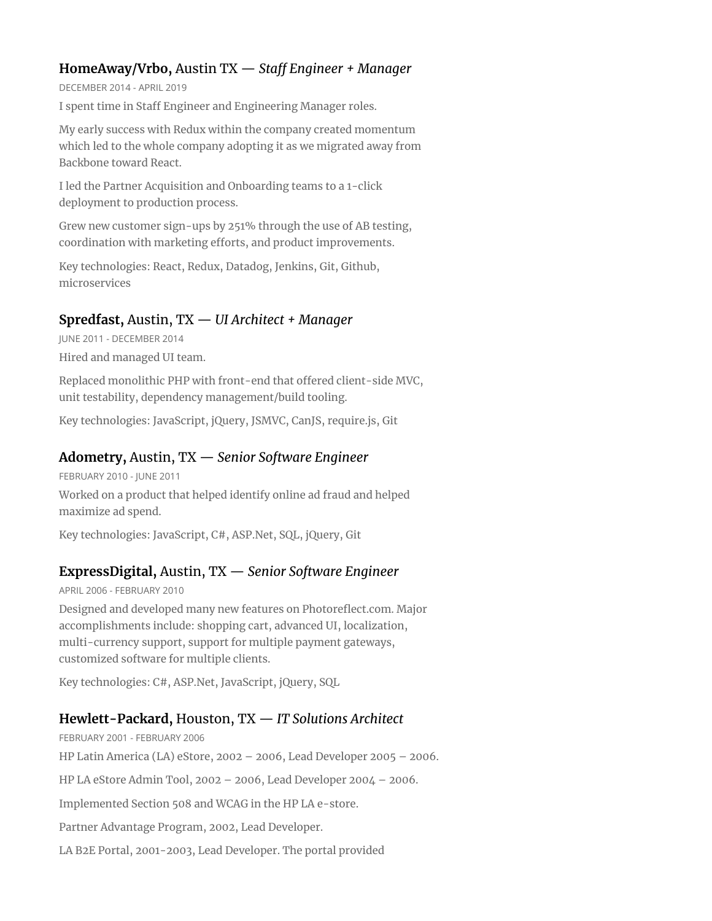# **HomeAway/Vrbo,** Austin TX — *Staff Engineer + Manager*

DECEMBER 2014 - APRIL 2019

I spent time in Staff Engineer and Engineering Manager roles.

My early success with Redux within the company created momentum which led to the whole company adopting it as we migrated away from Backbone toward React.

I led the Partner Acquisition and Onboarding teams to a 1-click deployment to production process.

Grew new customer sign-ups by 251% through the use of AB testing, coordination with marketing efforts, and product improvements.

Key technologies: React, Redux, Datadog, Jenkins, Git, Github, microservices

# **Spredfast,** Austin, TX — *UI Architect + Manager*

JUNE 2011 - DECEMBER 2014

Hired and managed UI team.

Replaced monolithic PHP with front-end that offered client-side MVC, unit testability, dependency management/build tooling.

Key technologies: JavaScript, jQuery, JSMVC, CanJS, require.js, Git

## **Adometry,** Austin, TX — *Senior Software Engineer*

FEBRUARY 2010 - JUNE 2011 Worked on a product that helped identify online ad fraud and helped maximize ad spend.

Key technologies: JavaScript, C#, ASP.Net, SQL, jQuery, Git

# **ExpressDigital,** Austin, TX — *Senior Software Engineer*

APRIL 2006 - FEBRUARY 2010

Designed and developed many new features on Photoreflect.com. Major accomplishments include: shopping cart, advanced UI, localization, multi-currency support, support for multiple payment gateways, customized software for multiple clients.

Key technologies: C#, ASP.Net, JavaScript, jQuery, SQL

# **Hewlett-Packard,** Houston, TX — *IT Solutions Architect*

FEBRUARY 2001 - FEBRUARY 2006 HP Latin America (LA) eStore, 2002 – 2006, Lead Developer 2005 – 2006. HP LA eStore Admin Tool, 2002 – 2006, Lead Developer 2004 – 2006. Implemented Section 508 and WCAG in the HP LA e-store. Partner Advantage Program, 2002, Lead Developer. LA B2E Portal, 2001-2003, Lead Developer. The portal provided